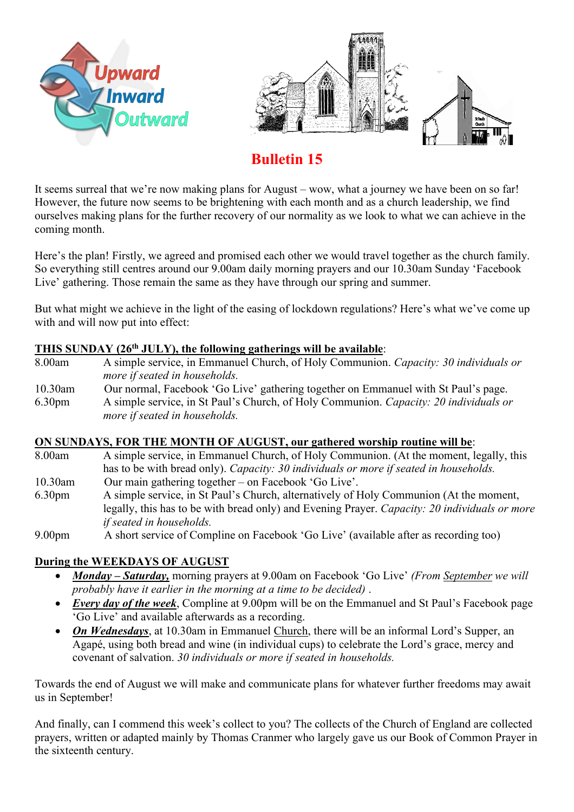



# **Bulletin 15**

It seems surreal that we're now making plans for August – wow, what a journey we have been on so far! However, the future now seems to be brightening with each month and as a church leadership, we find ourselves making plans for the further recovery of our normality as we look to what we can achieve in the coming month.

Here's the plan! Firstly, we agreed and promised each other we would travel together as the church family. So everything still centres around our 9.00am daily morning prayers and our 10.30am Sunday 'Facebook Live' gathering. Those remain the same as they have through our spring and summer.

But what might we achieve in the light of the easing of lockdown regulations? Here's what we've come up with and will now put into effect:

### **THIS SUNDAY (26th JULY), the following gatherings will be available**:

- 8.00am A simple service, in Emmanuel Church, of Holy Communion. *Capacity: 30 individuals or more if seated in households.* 10.30am Our normal, Facebook 'Go Live' gathering together on Emmanuel with St Paul's page.
- 6.30pm A simple service, in St Paul's Church, of Holy Communion. *Capacity: 20 individuals or more if seated in households.*

# **ON SUNDAYS, FOR THE MONTH OF AUGUST, our gathered worship routine will be**:

- 8.00am A simple service, in Emmanuel Church, of Holy Communion. (At the moment, legally, this has to be with bread only). *Capacity: 30 individuals or more if seated in households.* 10.30am Our main gathering together – on Facebook 'Go Live'.
- 6.30pm A simple service, in St Paul's Church, alternatively of Holy Communion (At the moment, legally, this has to be with bread only) and Evening Prayer. *Capacity: 20 individuals or more*
- *if seated in households.* 9.00pm A short service of Compline on Facebook 'Go Live' (available after as recording too)

# **During the WEEKDAYS OF AUGUST**

- *Monday – Saturday,* morning prayers at 9.00am on Facebook 'Go Live' *(From September we will probably have it earlier in the morning at a time to be decided)* .
- *Every day of the week*, Compline at 9.00pm will be on the Emmanuel and St Paul's Facebook page 'Go Live' and available afterwards as a recording.
- *On Wednesdays*, at 10.30am in Emmanuel Church, there will be an informal Lord's Supper, an Agapé, using both bread and wine (in individual cups) to celebrate the Lord's grace, mercy and covenant of salvation. *30 individuals or more if seated in households.*

Towards the end of August we will make and communicate plans for whatever further freedoms may await us in September!

And finally, can I commend this week's collect to you? The collects of the Church of England are collected prayers, written or adapted mainly by Thomas Cranmer who largely gave us our Book of Common Prayer in the sixteenth century.